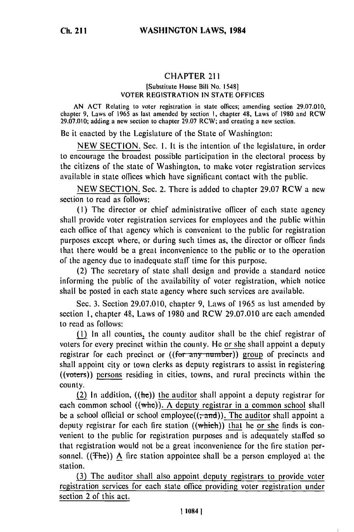## CHAPTER <sup>211</sup>

## [Substitute House Bill No. 1548] VOTER REGISTRATION IN STATE OFFICES

AN ACT Relating to voter registration in state offices; amending section 29.07.010, chapter 9, Laws of 1965 as last amended by section **I,** chapter **48,** Laws of **1980** and RCW 29.07.010; adding a new section to chapter **29.07** RCW; and creating a new section.

Be it enacted by the Legislature of the State of Washington:

**NEW SECTION.** Sec. **I.** It is the intention **of** the legislature, in order to encourage the broadest possible participation in the electoral process by the citizens of the state of Washington, to make voter registration services available in state offices which have significant contact with the public.

NEW SECTION. Sec. 2. There is added to chapter 29.07 RCW a new section to read as follows:

**(I)** The director or chief administrative officer of each state agency shall provide voter registration services for employees and the public within each office of that agency which is convenient to the public for registration purposes except where, or during such times as, the director or officer finds that there would **be** a great inconvenience to the public or to the operation of the agency due to inadequate staff time for this purpose.

(2) The secretary of state shall design and provide a standard notice informing the public of the availability of voter registration, which notice shall be posted in each state agency where such services are available.

Sec. **3.** Section **29.07.010,** chapter 9, Laws of 1965 as last amended by section **1,** chapter 48, Laws of 1980 and RCW 29.07.010 are each amended to read as follows:

 $(1)$  In all counties, the county auditor shall be the chief registrar of voters for every precinct within the county. He or she shall appoint a deputy registrar for each precinct or ((for any-number)) group of precincts and shall appoint city or town clerks as deputy registrars to assist in registering ((voters)) persons residing in cities, towns, and rural precincts within the county.

(2) In addition,  $((he))$  the auditor shall appoint a deputy registrar for each common school ((who)). **A** deputy registrar in a common school shall be a school official or school employee $((\tau \cdot \text{and}))$ . The auditor shall appoint a deputy registrar for each fire station  $((which))$  that he or she finds is convenient to the public for registration purposes and is adequately staffed so that registration would not **be** a great inconvenience for the fire station personnel. ( $(Theta)$ ) A fire station appointee shall be a person employed at the station.

(3) The auditor shall also appoint deputy registrars to provide voter registration services for each state office providing voter registration under section 2 of this act.